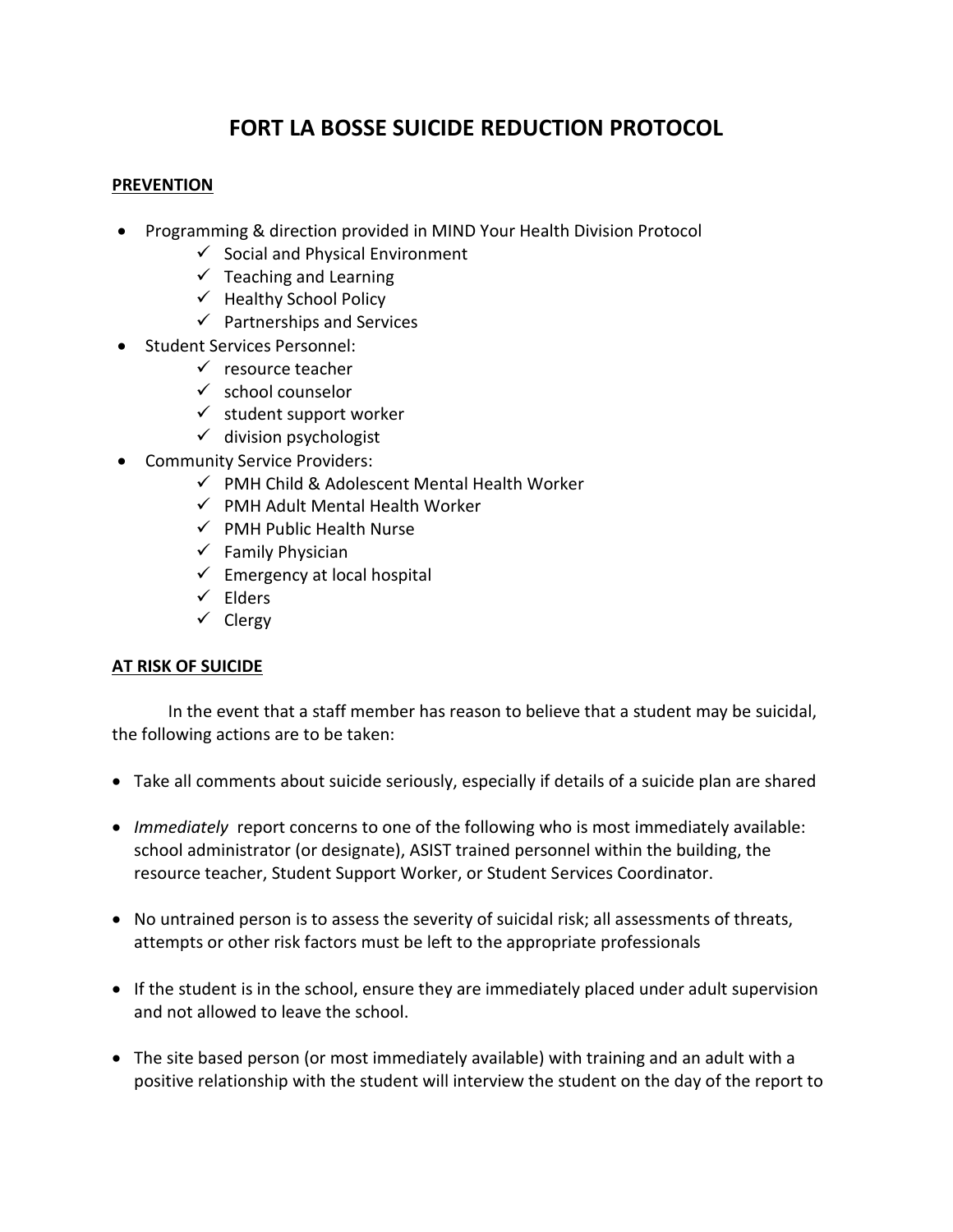# **FORT LA BOSSE SUICIDE REDUCTION PROTOCOL**

### **PREVENTION**

- Programming & direction provided in MIND Your Health Division Protocol
	- $\checkmark$  Social and Physical Environment
	- $\checkmark$  Teaching and Learning
	- $\checkmark$  Healthy School Policy
	- $\checkmark$  Partnerships and Services
- Student Services Personnel:
	- $\checkmark$  resource teacher
	- $\checkmark$  school counselor
	- $\checkmark$  student support worker
	- $\checkmark$  division psychologist
- Community Service Providers:
	- $\checkmark$  PMH Child & Adolescent Mental Health Worker
	- $\checkmark$  PMH Adult Mental Health Worker
	- $\checkmark$  PMH Public Health Nurse
	- $\checkmark$  Family Physician
	- $\checkmark$  Emergency at local hospital
	- $\checkmark$  Elders
	- $\checkmark$  Clergy

#### **AT RISK OF SUICIDE**

In the event that a staff member has reason to believe that a student may be suicidal, the following actions are to be taken:

- Take all comments about suicide seriously, especially if details of a suicide plan are shared
- *Immediately* report concerns to one of the following who is most immediately available: school administrator (or designate), ASIST trained personnel within the building, the resource teacher, Student Support Worker, or Student Services Coordinator.
- No untrained person is to assess the severity of suicidal risk; all assessments of threats, attempts or other risk factors must be left to the appropriate professionals
- If the student is in the school, ensure they are immediately placed under adult supervision and not allowed to leave the school.
- The site based person (or most immediately available) with training and an adult with a positive relationship with the student will interview the student on the day of the report to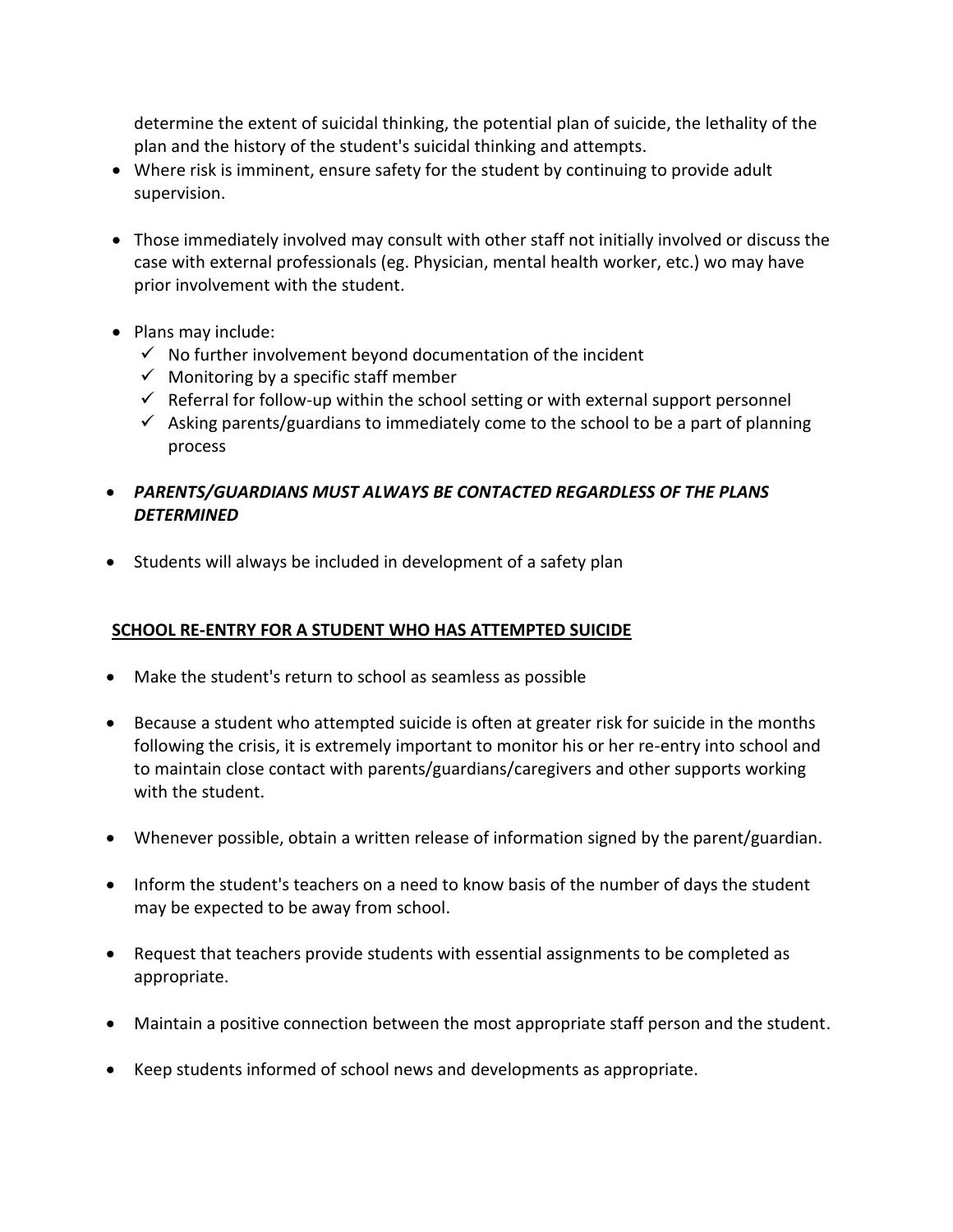determine the extent of suicidal thinking, the potential plan of suicide, the lethality of the plan and the history of the student's suicidal thinking and attempts.

- Where risk is imminent, ensure safety for the student by continuing to provide adult supervision.
- Those immediately involved may consult with other staff not initially involved or discuss the case with external professionals (eg. Physician, mental health worker, etc.) wo may have prior involvement with the student.
- Plans may include:
	- $\checkmark$  No further involvement beyond documentation of the incident
	- $\checkmark$  Monitoring by a specific staff member
	- $\checkmark$  Referral for follow-up within the school setting or with external support personnel
	- $\checkmark$  Asking parents/guardians to immediately come to the school to be a part of planning process
- *PARENTS/GUARDIANS MUST ALWAYS BE CONTACTED REGARDLESS OF THE PLANS DETERMINED*
- Students will always be included in development of a safety plan

# **SCHOOL RE-ENTRY FOR A STUDENT WHO HAS ATTEMPTED SUICIDE**

- Make the student's return to school as seamless as possible
- Because a student who attempted suicide is often at greater risk for suicide in the months following the crisis, it is extremely important to monitor his or her re-entry into school and to maintain close contact with parents/guardians/caregivers and other supports working with the student.
- Whenever possible, obtain a written release of information signed by the parent/guardian.
- Inform the student's teachers on a need to know basis of the number of days the student may be expected to be away from school.
- Request that teachers provide students with essential assignments to be completed as appropriate.
- Maintain a positive connection between the most appropriate staff person and the student.
- Keep students informed of school news and developments as appropriate.